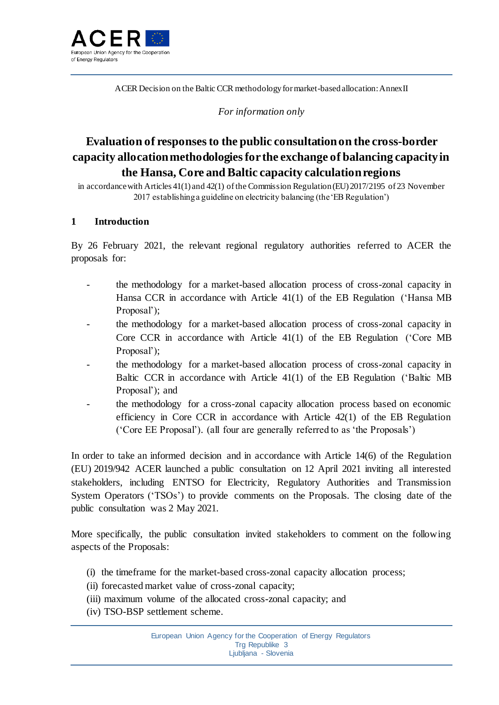

ACER Decision on the Baltic CCR methodology for market-based allocation: Annex II

*For information only*

# **Evaluation of responses to the public consultation on the cross-border capacity allocation methodologies for the exchange of balancing capacity in the Hansa, Core and Baltic capacity calculation regions**

in accordance with Articles 41(1) and 42(1) of the Commission Regulation (EU) 2017/2195 of 23 November 2017 establishing a guideline on electricity balancing (the 'EB Regulation')

### **1 Introduction**

By 26 February 2021, the relevant regional regulatory authorities referred to ACER the proposals for:

- the methodology for a market-based allocation process of cross-zonal capacity in Hansa CCR in accordance with Article 41(1) of the EB Regulation ('Hansa MB Proposal');
- the methodology for a market-based allocation process of cross-zonal capacity in Core CCR in accordance with Article 41(1) of the EB Regulation ('Core MB Proposal');
- the methodology for a market-based allocation process of cross-zonal capacity in Baltic CCR in accordance with Article 41(1) of the EB Regulation ('Baltic MB Proposal'); and
- the methodology for a cross-zonal capacity allocation process based on economic efficiency in Core CCR in accordance with Article 42(1) of the EB Regulation ('Core EE Proposal'). (all four are generally referred to as 'the Proposals')

In order to take an informed decision and in accordance with Article 14(6) of the Regulation (EU) 2019/942 ACER launched a public consultation on 12 April 2021 inviting all interested stakeholders, including ENTSO for Electricity, Regulatory Authorities and Transmission System Operators ('TSOs') to provide comments on the Proposals. The closing date of the public consultation was 2 May 2021.

More specifically, the public consultation invited stakeholders to comment on the following aspects of the Proposals:

- (i) the timeframe for the market-based cross-zonal capacity allocation process;
- (ii) forecasted market value of cross-zonal capacity;
- (iii) maximum volume of the allocated cross-zonal capacity; and
- (iv) TSO-BSP settlement scheme.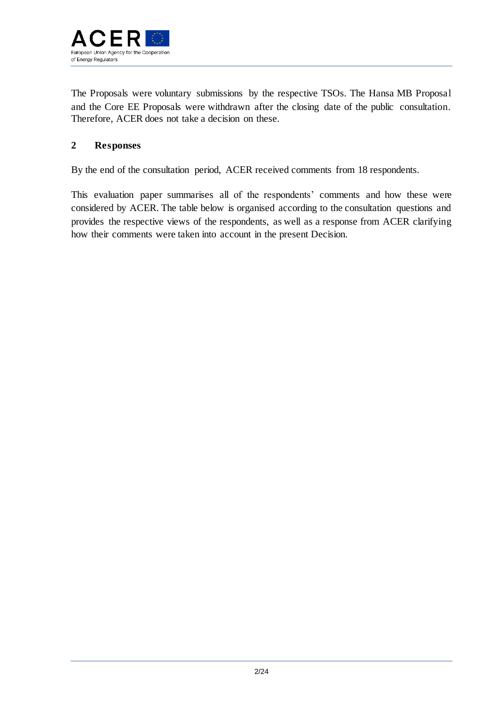

The Proposals were voluntary submissions by the respective TSOs. The Hansa MB Proposal and the Core EE Proposals were withdrawn after the closing date of the public consultation. Therefore, ACER does not take a decision on these.

## **2 Responses**

By the end of the consultation period, ACER received comments from 18 respondents.

This evaluation paper summarises all of the respondents' comments and how these were considered by ACER. The table below is organised according to the consultation questions and provides the respective views of the respondents, as well as a response from ACER clarifying how their comments were taken into account in the present Decision.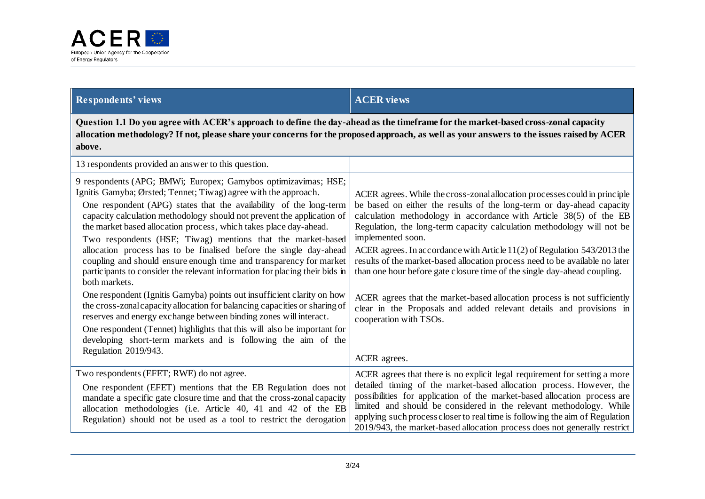

## **Respondents' views ACER views**

**Question 1.1 Do you agree with ACER's approach to define the day-ahead as the timeframe for the market-based cross-zonal capacity allocation methodology? If not, please share your concerns for the proposed approach, as well as your answers to the issues raised by ACER above.**

| 13 respondents provided an answer to this question.                                                                                                                                                                                                                                                                                                                                                                                                                                                                                                                                                                                                                                                                                                                                                                                                                                                                                                                                                                                                                |                                                                                                                                                                                                                                                                                                                                                                                                                                                                                                                                                                                                                                                                                                                                               |
|--------------------------------------------------------------------------------------------------------------------------------------------------------------------------------------------------------------------------------------------------------------------------------------------------------------------------------------------------------------------------------------------------------------------------------------------------------------------------------------------------------------------------------------------------------------------------------------------------------------------------------------------------------------------------------------------------------------------------------------------------------------------------------------------------------------------------------------------------------------------------------------------------------------------------------------------------------------------------------------------------------------------------------------------------------------------|-----------------------------------------------------------------------------------------------------------------------------------------------------------------------------------------------------------------------------------------------------------------------------------------------------------------------------------------------------------------------------------------------------------------------------------------------------------------------------------------------------------------------------------------------------------------------------------------------------------------------------------------------------------------------------------------------------------------------------------------------|
| 9 respondents (APG; BMWi; Europex; Gamybos optimizavimas; HSE;<br>Ignitis Gamyba; Ørsted; Tennet; Tiwag) agree with the approach.<br>One respondent (APG) states that the availability of the long-term<br>capacity calculation methodology should not prevent the application of<br>the market based allocation process, which takes place day-ahead.<br>Two respondents (HSE; Tiwag) mentions that the market-based<br>allocation process has to be finalised before the single day-ahead<br>coupling and should ensure enough time and transparency for market<br>participants to consider the relevant information for placing their bids in<br>both markets.<br>One respondent (Ignitis Gamyba) points out insufficient clarity on how<br>the cross-zonal capacity allocation for balancing capacities or sharing of<br>reserves and energy exchange between binding zones will interact.<br>One respondent (Tennet) highlights that this will also be important for<br>developing short-term markets and is following the aim of the<br>Regulation 2019/943. | ACER agrees. While the cross-zonal allocation processes could in principle<br>be based on either the results of the long-term or day-ahead capacity<br>calculation methodology in accordance with Article 38(5) of the EB<br>Regulation, the long-term capacity calculation methodology will not be<br>implemented soon.<br>ACER agrees. In accordance with Article 11(2) of Regulation 543/2013 the<br>results of the market-based allocation process need to be available no later<br>than one hour before gate closure time of the single day-ahead coupling.<br>ACER agrees that the market-based allocation process is not sufficiently<br>clear in the Proposals and added relevant details and provisions in<br>cooperation with TSOs. |
| Two respondents (EFET; RWE) do not agree.                                                                                                                                                                                                                                                                                                                                                                                                                                                                                                                                                                                                                                                                                                                                                                                                                                                                                                                                                                                                                          | ACER agrees.<br>ACER agrees that there is no explicit legal requirement for setting a more                                                                                                                                                                                                                                                                                                                                                                                                                                                                                                                                                                                                                                                    |
| One respondent (EFET) mentions that the EB Regulation does not<br>mandate a specific gate closure time and that the cross-zonal capacity<br>allocation methodologies (i.e. Article 40, 41 and 42 of the EB<br>Regulation) should not be used as a tool to restrict the derogation                                                                                                                                                                                                                                                                                                                                                                                                                                                                                                                                                                                                                                                                                                                                                                                  | detailed timing of the market-based allocation process. However, the<br>possibilities for application of the market-based allocation process are<br>limited and should be considered in the relevant methodology. While<br>applying such process closer to real time is following the aim of Regulation<br>2019/943, the market-based allocation process does not generally restrict                                                                                                                                                                                                                                                                                                                                                          |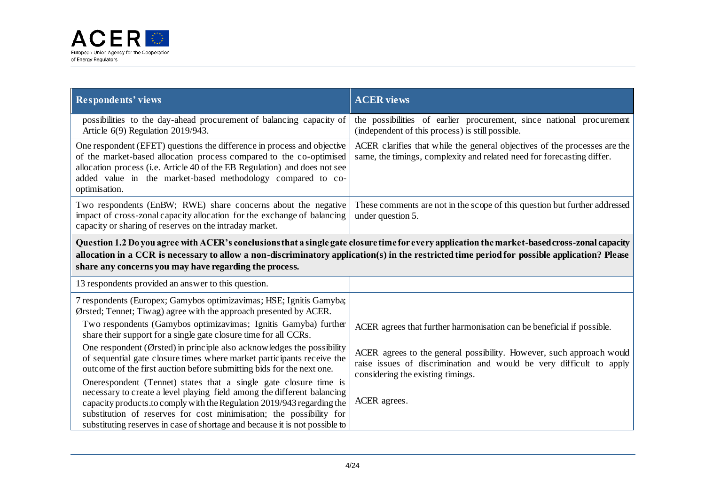

| <b>Respondents' views</b>                                                                                                                                                                                                                                                                                                                                                    | <b>ACER</b> views                                                                                                                                                                |  |
|------------------------------------------------------------------------------------------------------------------------------------------------------------------------------------------------------------------------------------------------------------------------------------------------------------------------------------------------------------------------------|----------------------------------------------------------------------------------------------------------------------------------------------------------------------------------|--|
| possibilities to the day-ahead procurement of balancing capacity of<br>Article $6(9)$ Regulation 2019/943.                                                                                                                                                                                                                                                                   | the possibilities of earlier procurement, since national procurement<br>(independent of this process) is still possible.                                                         |  |
| One respondent (EFET) questions the difference in process and objective<br>of the market-based allocation process compared to the co-optimised<br>allocation process (i.e. Article 40 of the EB Regulation) and does not see<br>added value in the market-based methodology compared to co-<br>optimisation.                                                                 | ACER clarifies that while the general objectives of the processes are the<br>same, the timings, complexity and related need for forecasting differ.                              |  |
| Two respondents (EnBW; RWE) share concerns about the negative<br>impact of cross-zonal capacity allocation for the exchange of balancing<br>capacity or sharing of reserves on the intraday market.                                                                                                                                                                          | These comments are not in the scope of this question but further addressed<br>under question 5.                                                                                  |  |
| Question 1.2 Do you agree with ACER's conclusions that a single gate closure time for every application the market-based cross-zonal capacity<br>allocation in a CCR is necessary to allow a non-discriminatory application(s) in the restricted time period for possible application? Please<br>share any concerns you may have regarding the process.                      |                                                                                                                                                                                  |  |
| 13 respondents provided an answer to this question.                                                                                                                                                                                                                                                                                                                          |                                                                                                                                                                                  |  |
| 7 respondents (Europex; Gamybos optimizavimas; HSE; Ignitis Gamyba;<br>Ørsted; Tennet; Tiwag) agree with the approach presented by ACER.                                                                                                                                                                                                                                     |                                                                                                                                                                                  |  |
| Two respondents (Gamybos optimizavimas; Ignitis Gamyba) further<br>share their support for a single gate closure time for all CCRs.                                                                                                                                                                                                                                          | ACER agrees that further harmonisation can be beneficial if possible.                                                                                                            |  |
| One respondent (Ørsted) in principle also acknowledges the possibility<br>of sequential gate closure times where market participants receive the<br>outcome of the first auction before submitting bids for the next one.                                                                                                                                                    | ACER agrees to the general possibility. However, such approach would<br>raise issues of discrimination and would be very difficult to apply<br>considering the existing timings. |  |
| One respondent (Tennet) states that a single gate closure time is<br>necessary to create a level playing field among the different balancing<br>capacity products.to comply with the Regulation 2019/943 regarding the<br>substitution of reserves for cost minimisation; the possibility for<br>substituting reserves in case of shortage and because it is not possible to | ACER agrees.                                                                                                                                                                     |  |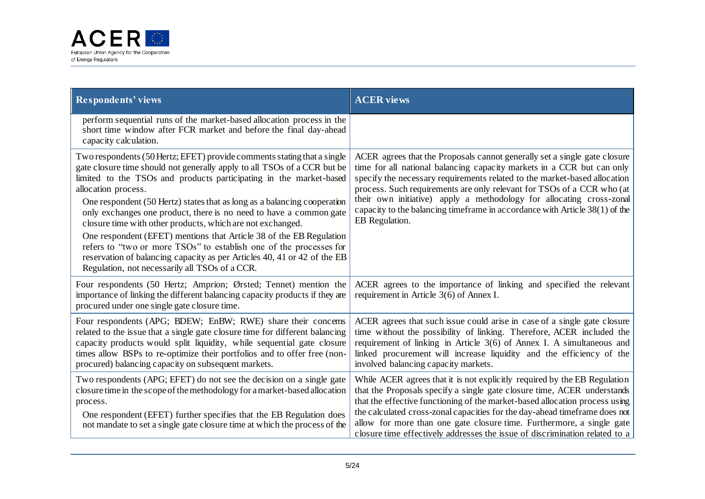

| <b>Respondents' views</b>                                                                                                                                                                                                                                                                                                                                                                                                                                                                                                                                                                                                                                                                                                                   | <b>ACER</b> views                                                                                                                                                                                                                                                                                                                                                                                                                                                                     |
|---------------------------------------------------------------------------------------------------------------------------------------------------------------------------------------------------------------------------------------------------------------------------------------------------------------------------------------------------------------------------------------------------------------------------------------------------------------------------------------------------------------------------------------------------------------------------------------------------------------------------------------------------------------------------------------------------------------------------------------------|---------------------------------------------------------------------------------------------------------------------------------------------------------------------------------------------------------------------------------------------------------------------------------------------------------------------------------------------------------------------------------------------------------------------------------------------------------------------------------------|
| perform sequential runs of the market-based allocation process in the<br>short time window after FCR market and before the final day-ahead<br>capacity calculation.                                                                                                                                                                                                                                                                                                                                                                                                                                                                                                                                                                         |                                                                                                                                                                                                                                                                                                                                                                                                                                                                                       |
| Two respondents (50 Hertz; EFET) provide comments stating that a single<br>gate closure time should not generally apply to all TSOs of a CCR but be<br>limited to the TSOs and products participating in the market-based<br>allocation process.<br>One respondent (50 Hertz) states that as long as a balancing cooperation<br>only exchanges one product, there is no need to have a common gate<br>closure time with other products, which are not exchanged.<br>One respondent (EFET) mentions that Article 38 of the EB Regulation<br>refers to "two or more TSOs" to establish one of the processes for<br>reservation of balancing capacity as per Articles 40, 41 or 42 of the EB<br>Regulation, not necessarily all TSOs of a CCR. | ACER agrees that the Proposals cannot generally set a single gate closure<br>time for all national balancing capacity markets in a CCR but can only<br>specify the necessary requirements related to the market-based allocation<br>process. Such requirements are only relevant for TSOs of a CCR who (at<br>their own initiative) apply a methodology for allocating cross-zonal<br>capacity to the balancing timeframe in accordance with Article $38(1)$ of the<br>EB Regulation. |
| Four respondents (50 Hertz; Amprion; Ørsted; Tennet) mention the<br>importance of linking the different balancing capacity products if they are<br>procured under one single gate closure time.                                                                                                                                                                                                                                                                                                                                                                                                                                                                                                                                             | ACER agrees to the importance of linking and specified the relevant<br>requirement in Article 3(6) of Annex I.                                                                                                                                                                                                                                                                                                                                                                        |
| Four respondents (APG; BDEW; EnBW; RWE) share their concerns<br>related to the issue that a single gate closure time for different balancing<br>capacity products would split liquidity, while sequential gate closure<br>times allow BSPs to re-optimize their portfolios and to offer free (non-<br>procured) balancing capacity on subsequent markets.                                                                                                                                                                                                                                                                                                                                                                                   | ACER agrees that such issue could arise in case of a single gate closure<br>time without the possibility of linking. Therefore, ACER included the<br>requirement of linking in Article 3(6) of Annex I. A simultaneous and<br>linked procurement will increase liquidity and the efficiency of the<br>involved balancing capacity markets.                                                                                                                                            |
| Two respondents (APG; EFET) do not see the decision on a single gate<br>closure time in the scope of the methodology for a market-based allocation<br>process.<br>One respondent (EFET) further specifies that the EB Regulation does<br>not mandate to set a single gate closure time at which the process of the                                                                                                                                                                                                                                                                                                                                                                                                                          | While ACER agrees that it is not explicitly required by the EB Regulation<br>that the Proposals specify a single gate closure time, ACER understands<br>that the effective functioning of the market-based allocation process using<br>the calculated cross-zonal capacities for the day-ahead timeframe does not<br>allow for more than one gate closure time. Furthermore, a single gate<br>closure time effectively addresses the issue of discrimination related to a             |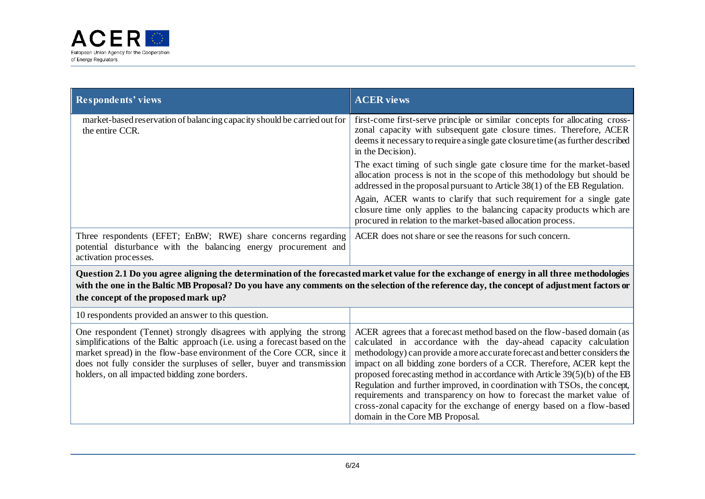

| <b>Respondents' views</b>                                                                                                                                                                                                                                                                                                                               | <b>ACER</b> views                                                                                                                                                                                                                                                                                                                                                                                                                                                                                                                                                                                                                               |
|---------------------------------------------------------------------------------------------------------------------------------------------------------------------------------------------------------------------------------------------------------------------------------------------------------------------------------------------------------|-------------------------------------------------------------------------------------------------------------------------------------------------------------------------------------------------------------------------------------------------------------------------------------------------------------------------------------------------------------------------------------------------------------------------------------------------------------------------------------------------------------------------------------------------------------------------------------------------------------------------------------------------|
| market-based reservation of balancing capacity should be carried out for<br>the entire CCR.                                                                                                                                                                                                                                                             | first-come first-serve principle or similar concepts for allocating cross-<br>zonal capacity with subsequent gate closure times. Therefore, ACER<br>deems it necessary to require a single gate closure time (as further described<br>in the Decision).                                                                                                                                                                                                                                                                                                                                                                                         |
|                                                                                                                                                                                                                                                                                                                                                         | The exact timing of such single gate closure time for the market-based<br>allocation process is not in the scope of this methodology but should be<br>addressed in the proposal pursuant to Article 38(1) of the EB Regulation.                                                                                                                                                                                                                                                                                                                                                                                                                 |
|                                                                                                                                                                                                                                                                                                                                                         | Again, ACER wants to clarify that such requirement for a single gate<br>closure time only applies to the balancing capacity products which are<br>procured in relation to the market-based allocation process.                                                                                                                                                                                                                                                                                                                                                                                                                                  |
| Three respondents (EFET; EnBW; RWE) share concerns regarding<br>potential disturbance with the balancing energy procurement and<br>activation processes.                                                                                                                                                                                                | ACER does not share or see the reasons for such concern.                                                                                                                                                                                                                                                                                                                                                                                                                                                                                                                                                                                        |
| the concept of the proposed mark up?                                                                                                                                                                                                                                                                                                                    | Question 2.1 Do you agree aligning the determination of the forecasted market value for the exchange of energy in all three methodologies<br>with the one in the Baltic MB Proposal? Do you have any comments on the selection of the reference day, the concept of adjustment factors or                                                                                                                                                                                                                                                                                                                                                       |
| 10 respondents provided an answer to this question.                                                                                                                                                                                                                                                                                                     |                                                                                                                                                                                                                                                                                                                                                                                                                                                                                                                                                                                                                                                 |
| One respondent (Tennet) strongly disagrees with applying the strong<br>simplifications of the Baltic approach (i.e. using a forecast based on the<br>market spread) in the flow-base environment of the Core CCR, since it<br>does not fully consider the surpluses of seller, buyer and transmission<br>holders, on all impacted bidding zone borders. | ACER agrees that a forecast method based on the flow-based domain (as<br>calculated in accordance with the day-ahead capacity calculation<br>methodology) can provide a more accurate forecast and better considers the<br>impact on all bidding zone borders of a CCR. Therefore, ACER kept the<br>proposed forecasting method in accordance with Article $39(5)(b)$ of the EB<br>Regulation and further improved, in coordination with TSOs, the concept,<br>requirements and transparency on how to forecast the market value of<br>cross-zonal capacity for the exchange of energy based on a flow-based<br>domain in the Core MB Proposal. |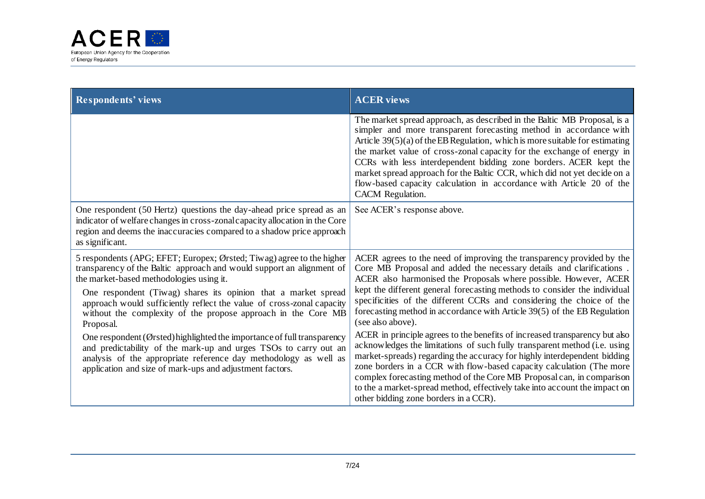

| <b>Respondents' views</b>                                                                                                                                                                                                                                                                                                                                                                                           | <b>ACER</b> views                                                                                                                                                                                                                                                                                                                                                                                                                                                                                                                                       |
|---------------------------------------------------------------------------------------------------------------------------------------------------------------------------------------------------------------------------------------------------------------------------------------------------------------------------------------------------------------------------------------------------------------------|---------------------------------------------------------------------------------------------------------------------------------------------------------------------------------------------------------------------------------------------------------------------------------------------------------------------------------------------------------------------------------------------------------------------------------------------------------------------------------------------------------------------------------------------------------|
|                                                                                                                                                                                                                                                                                                                                                                                                                     | The market spread approach, as described in the Baltic MB Proposal, is a<br>simpler and more transparent forecasting method in accordance with<br>Article $39(5)(a)$ of the EB Regulation, which is more suitable for estimating<br>the market value of cross-zonal capacity for the exchange of energy in<br>CCRs with less interdependent bidding zone borders. ACER kept the<br>market spread approach for the Baltic CCR, which did not yet decide on a<br>flow-based capacity calculation in accordance with Article 20 of the<br>CACM Regulation. |
| One respondent (50 Hertz) questions the day-ahead price spread as an<br>indicator of welfare changes in cross-zonal capacity allocation in the Core<br>region and deems the inaccuracies compared to a shadow price approach<br>as significant.                                                                                                                                                                     | See ACER's response above.                                                                                                                                                                                                                                                                                                                                                                                                                                                                                                                              |
| 5 respondents (APG; EFET; Europex; Ørsted; Tiwag) agree to the higher<br>transparency of the Baltic approach and would support an alignment of<br>the market-based methodologies using it.<br>One respondent (Tiwag) shares its opinion that a market spread<br>approach would sufficiently reflect the value of cross-zonal capacity<br>without the complexity of the propose approach in the Core MB<br>Proposal. | ACER agrees to the need of improving the transparency provided by the<br>Core MB Proposal and added the necessary details and clarifications.<br>ACER also harmonised the Proposals where possible. However, ACER<br>kept the different general forecasting methods to consider the individual<br>specificities of the different CCRs and considering the choice of the<br>forecasting method in accordance with Article 39(5) of the EB Regulation<br>(see also above).                                                                                |
| One respondent (Ørsted) highlighted the importance of full transparency<br>and predictability of the mark-up and urges TSOs to carry out an<br>analysis of the appropriate reference day methodology as well as<br>application and size of mark-ups and adjustment factors.                                                                                                                                         | ACER in principle agrees to the benefits of increased transparency but also<br>acknowledges the limitations of such fully transparent method (i.e. using<br>market-spreads) regarding the accuracy for highly interdependent bidding<br>zone borders in a CCR with flow-based capacity calculation (The more<br>complex forecasting method of the Core MB Proposal can, in comparison<br>to the a market-spread method, effectively take into account the impact on<br>other bidding zone borders in a CCR).                                            |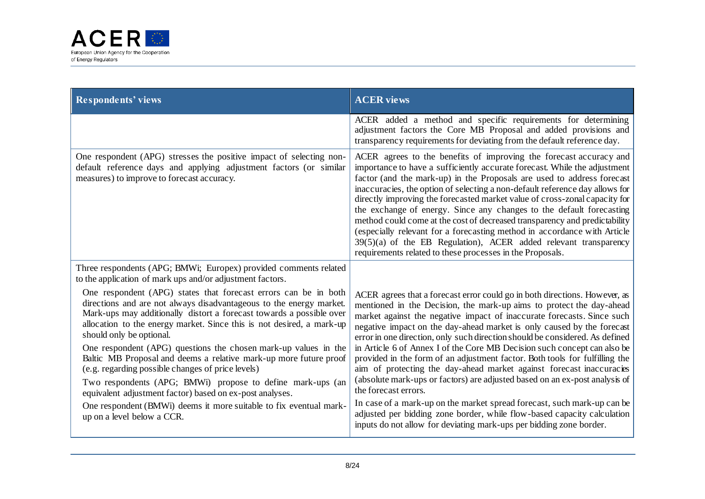

| <b>Respondents' views</b>                                                                                                                                                                                                                                                                                                                                                                                                                                                                                                                                                                                                                                                                                                                      | <b>ACER</b> views                                                                                                                                                                                                                                                                                                                                                                                                                                                                                                                                                                                                                                                                                                                                                                                                                                                                      |
|------------------------------------------------------------------------------------------------------------------------------------------------------------------------------------------------------------------------------------------------------------------------------------------------------------------------------------------------------------------------------------------------------------------------------------------------------------------------------------------------------------------------------------------------------------------------------------------------------------------------------------------------------------------------------------------------------------------------------------------------|----------------------------------------------------------------------------------------------------------------------------------------------------------------------------------------------------------------------------------------------------------------------------------------------------------------------------------------------------------------------------------------------------------------------------------------------------------------------------------------------------------------------------------------------------------------------------------------------------------------------------------------------------------------------------------------------------------------------------------------------------------------------------------------------------------------------------------------------------------------------------------------|
|                                                                                                                                                                                                                                                                                                                                                                                                                                                                                                                                                                                                                                                                                                                                                | ACER added a method and specific requirements for determining<br>adjustment factors the Core MB Proposal and added provisions and<br>transparency requirements for deviating from the default reference day.                                                                                                                                                                                                                                                                                                                                                                                                                                                                                                                                                                                                                                                                           |
| One respondent (APG) stresses the positive impact of selecting non-<br>default reference days and applying adjustment factors (or similar<br>measures) to improve to forecast accuracy.                                                                                                                                                                                                                                                                                                                                                                                                                                                                                                                                                        | ACER agrees to the benefits of improving the forecast accuracy and<br>importance to have a sufficiently accurate forecast. While the adjustment<br>factor (and the mark-up) in the Proposals are used to address forecast<br>inaccuracies, the option of selecting a non-default reference day allows for<br>directly improving the forecasted market value of cross-zonal capacity for<br>the exchange of energy. Since any changes to the default forecasting<br>method could come at the cost of decreased transparency and predictability<br>(especially relevant for a forecasting method in accordance with Article<br>39(5)(a) of the EB Regulation), ACER added relevant transparency<br>requirements related to these processes in the Proposals.                                                                                                                             |
| Three respondents (APG; BMWi; Europex) provided comments related<br>to the application of mark ups and/or adjustment factors.                                                                                                                                                                                                                                                                                                                                                                                                                                                                                                                                                                                                                  |                                                                                                                                                                                                                                                                                                                                                                                                                                                                                                                                                                                                                                                                                                                                                                                                                                                                                        |
| One respondent (APG) states that forecast errors can be in both<br>directions and are not always disadvantageous to the energy market.<br>Mark-ups may additionally distort a forecast towards a possible over<br>allocation to the energy market. Since this is not desired, a mark-up<br>should only be optional.<br>One respondent (APG) questions the chosen mark-up values in the<br>Baltic MB Proposal and deems a relative mark-up more future proof<br>(e.g. regarding possible changes of price levels)<br>Two respondents (APG; BMWi) propose to define mark-ups (an<br>equivalent adjustment factor) based on ex-post analyses.<br>One respondent (BMWi) deems it more suitable to fix eventual mark-<br>up on a level below a CCR. | ACER agrees that a forecast error could go in both directions. However, as<br>mentioned in the Decision, the mark-up aims to protect the day-ahead<br>market against the negative impact of inaccurate forecasts. Since such<br>negative impact on the day-ahead market is only caused by the forecast<br>error in one direction, only such direction should be considered. As defined<br>in Article 6 of Annex I of the Core MB Decision such concept can also be<br>provided in the form of an adjustment factor. Both tools for fulfilling the<br>aim of protecting the day-ahead market against forecast inaccuracies<br>(absolute mark-ups or factors) are adjusted based on an ex-post analysis of<br>the forecast errors.<br>In case of a mark-up on the market spread forecast, such mark-up can be<br>adjusted per bidding zone border, while flow-based capacity calculation |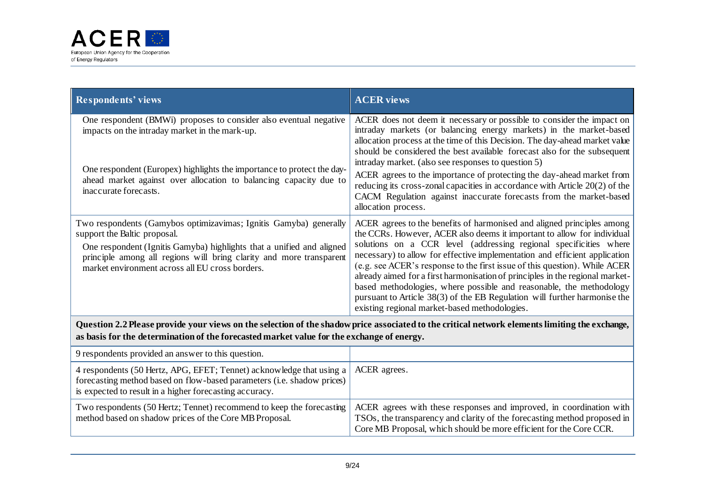

| <b>Respondents' views</b>                                                                                                                                                                                                                                                                            | <b>ACER</b> views                                                                                                                                                                                                                                                                                                                                                                                                                                                                                                                                                                                                                                                        |  |
|------------------------------------------------------------------------------------------------------------------------------------------------------------------------------------------------------------------------------------------------------------------------------------------------------|--------------------------------------------------------------------------------------------------------------------------------------------------------------------------------------------------------------------------------------------------------------------------------------------------------------------------------------------------------------------------------------------------------------------------------------------------------------------------------------------------------------------------------------------------------------------------------------------------------------------------------------------------------------------------|--|
| One respondent (BMWi) proposes to consider also eventual negative<br>impacts on the intraday market in the mark-up.<br>One respondent (Europex) highlights the importance to protect the day-<br>ahead market against over allocation to balancing capacity due to<br>inaccurate forecasts.          | ACER does not deem it necessary or possible to consider the impact on<br>intraday markets (or balancing energy markets) in the market-based<br>allocation process at the time of this Decision. The day-ahead market value<br>should be considered the best available forecast also for the subsequent<br>intraday market. (also see responses to question 5)<br>ACER agrees to the importance of protecting the day-ahead market from<br>reducing its cross-zonal capacities in accordance with Article 20(2) of the<br>CACM Regulation against inaccurate forecasts from the market-based<br>allocation process.                                                       |  |
| Two respondents (Gamybos optimizavimas; Ignitis Gamyba) generally<br>support the Baltic proposal.<br>One respondent (Ignitis Gamyba) highlights that a unified and aligned<br>principle among all regions will bring clarity and more transparent<br>market environment across all EU cross borders. | ACER agrees to the benefits of harmonised and aligned principles among<br>the CCRs. However, ACER also deems it important to allow for individual<br>solutions on a CCR level (addressing regional specificities where<br>necessary) to allow for effective implementation and efficient application<br>(e.g. see ACER's response to the first issue of this question). While ACER<br>already aimed for a first harmonisation of principles in the regional market-<br>based methodologies, where possible and reasonable, the methodology<br>pursuant to Article 38(3) of the EB Regulation will further harmonise the<br>existing regional market-based methodologies. |  |
| Question 2.2 Please provide your views on the selection of the shadow price associated to the critical network elements limiting the exchange,<br>as basis for the determination of the forecasted market value for the exchange of energy.                                                          |                                                                                                                                                                                                                                                                                                                                                                                                                                                                                                                                                                                                                                                                          |  |
| 9 respondents provided an answer to this question.                                                                                                                                                                                                                                                   |                                                                                                                                                                                                                                                                                                                                                                                                                                                                                                                                                                                                                                                                          |  |
| 4 respondents (50 Hertz, APG, EFET; Tennet) acknowledge that using a<br>forecasting method based on flow-based parameters (i.e. shadow prices)<br>is expected to result in a higher forecasting accuracy.                                                                                            | ACER agrees.                                                                                                                                                                                                                                                                                                                                                                                                                                                                                                                                                                                                                                                             |  |

| method based on shadow prices of the Core MB Proposal. | Two respondents (50 Hertz; Tennet) recommend to keep the forecasting ACER agrees with these responses and improved, in coordination with<br>TSOs, the transparency and clarity of the forecasting method proposed in |
|--------------------------------------------------------|----------------------------------------------------------------------------------------------------------------------------------------------------------------------------------------------------------------------|
|                                                        | Core MB Proposal, which should be more efficient for the Core CCR.                                                                                                                                                   |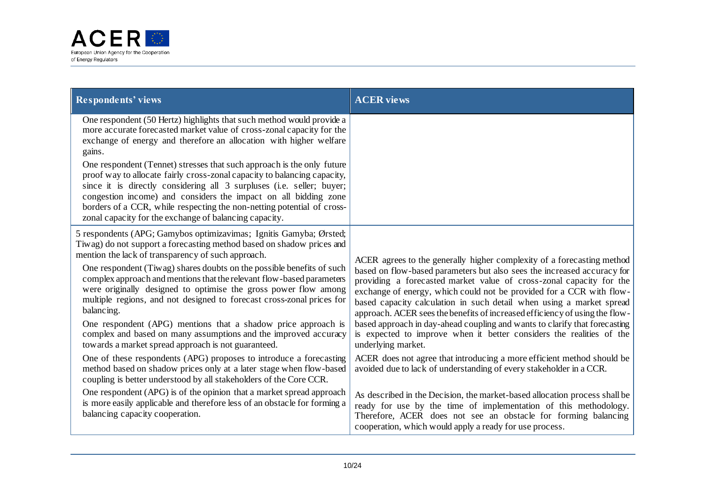

| <b>Respondents' views</b>                                                                                                                                                                                                                                                                                                                                                                                                                                                                                                                                                                                                                                                                                                                                                                                                                                                                                                                                                                           | <b>ACER</b> views                                                                                                                                                                                                                                                                                                                                                                                                                                                                                                                                                                                                                                                                                                                                                                    |
|-----------------------------------------------------------------------------------------------------------------------------------------------------------------------------------------------------------------------------------------------------------------------------------------------------------------------------------------------------------------------------------------------------------------------------------------------------------------------------------------------------------------------------------------------------------------------------------------------------------------------------------------------------------------------------------------------------------------------------------------------------------------------------------------------------------------------------------------------------------------------------------------------------------------------------------------------------------------------------------------------------|--------------------------------------------------------------------------------------------------------------------------------------------------------------------------------------------------------------------------------------------------------------------------------------------------------------------------------------------------------------------------------------------------------------------------------------------------------------------------------------------------------------------------------------------------------------------------------------------------------------------------------------------------------------------------------------------------------------------------------------------------------------------------------------|
| One respondent (50 Hertz) highlights that such method would provide a<br>more accurate forecasted market value of cross-zonal capacity for the<br>exchange of energy and therefore an allocation with higher welfare<br>gains.<br>One respondent (Tennet) stresses that such approach is the only future<br>proof way to allocate fairly cross-zonal capacity to balancing capacity,<br>since it is directly considering all 3 surpluses (i.e. seller; buyer;<br>congestion income) and considers the impact on all bidding zone<br>borders of a CCR, while respecting the non-netting potential of cross-<br>zonal capacity for the exchange of balancing capacity.                                                                                                                                                                                                                                                                                                                                |                                                                                                                                                                                                                                                                                                                                                                                                                                                                                                                                                                                                                                                                                                                                                                                      |
| 5 respondents (APG; Gamybos optimizavimas; Ignitis Gamyba; Ørsted;<br>Tiwag) do not support a forecasting method based on shadow prices and<br>mention the lack of transparency of such approach.<br>One respondent (Tiwag) shares doubts on the possible benefits of such<br>complex approach and mentions that the relevant flow-based parameters<br>were originally designed to optimise the gross power flow among<br>multiple regions, and not designed to forecast cross-zonal prices for<br>balancing.<br>One respondent (APG) mentions that a shadow price approach is<br>complex and based on many assumptions and the improved accuracy<br>towards a market spread approach is not guaranteed.<br>One of these respondents (APG) proposes to introduce a forecasting<br>method based on shadow prices only at a later stage when flow-based<br>coupling is better understood by all stakeholders of the Core CCR.<br>One respondent (APG) is of the opinion that a market spread approach | ACER agrees to the generally higher complexity of a forecasting method<br>based on flow-based parameters but also sees the increased accuracy for<br>providing a forecasted market value of cross-zonal capacity for the<br>exchange of energy, which could not be provided for a CCR with flow-<br>based capacity calculation in such detail when using a market spread<br>approach. ACER sees the benefits of increased efficiency of using the flow-<br>based approach in day-ahead coupling and wants to clarify that forecasting<br>is expected to improve when it better considers the realities of the<br>underlying market.<br>ACER does not agree that introducing a more efficient method should be<br>avoided due to lack of understanding of every stakeholder in a CCR. |
| is more easily applicable and therefore less of an obstacle for forming a<br>balancing capacity cooperation.                                                                                                                                                                                                                                                                                                                                                                                                                                                                                                                                                                                                                                                                                                                                                                                                                                                                                        | As described in the Decision, the market-based allocation process shall be<br>ready for use by the time of implementation of this methodology.<br>Therefore, ACER does not see an obstacle for forming balancing<br>cooperation, which would apply a ready for use process.                                                                                                                                                                                                                                                                                                                                                                                                                                                                                                          |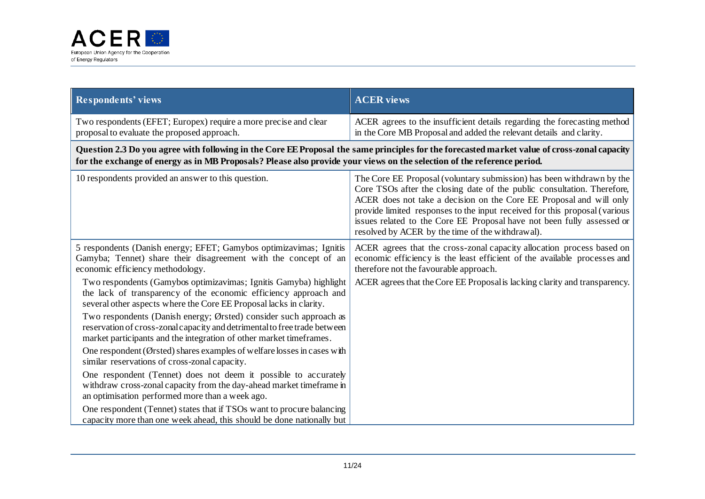

| <b>Respondents' views</b>                                                                                                                                                                                                                                               | <b>ACER</b> views                                                                                                                                                                                                                                                                                                                                                                                                                   |
|-------------------------------------------------------------------------------------------------------------------------------------------------------------------------------------------------------------------------------------------------------------------------|-------------------------------------------------------------------------------------------------------------------------------------------------------------------------------------------------------------------------------------------------------------------------------------------------------------------------------------------------------------------------------------------------------------------------------------|
| Two respondents (EFET; Europex) require a more precise and clear<br>proposal to evaluate the proposed approach.                                                                                                                                                         | ACER agrees to the insufficient details regarding the forecasting method<br>in the Core MB Proposal and added the relevant details and clarity.                                                                                                                                                                                                                                                                                     |
| Question 2.3 Do you agree with following in the Core EE Proposal the same principles for the forecasted market value of cross-zonal capacity<br>for the exchange of energy as in MB Proposals? Please also provide your views on the selection of the reference period. |                                                                                                                                                                                                                                                                                                                                                                                                                                     |
| 10 respondents provided an answer to this question.                                                                                                                                                                                                                     | The Core EE Proposal (voluntary submission) has been withdrawn by the<br>Core TSOs after the closing date of the public consultation. Therefore,<br>ACER does not take a decision on the Core EE Proposal and will only<br>provide limited responses to the input received for this proposal (various<br>issues related to the Core EE Proposal have not been fully assessed or<br>resolved by ACER by the time of the withdrawal). |
| 5 respondents (Danish energy; EFET; Gamybos optimizavimas; Ignitis<br>Gamyba; Tennet) share their disagreement with the concept of an<br>economic efficiency methodology.                                                                                               | ACER agrees that the cross-zonal capacity allocation process based on<br>economic efficiency is the least efficient of the available processes and<br>therefore not the favourable approach.                                                                                                                                                                                                                                        |
| Two respondents (Gamybos optimizavimas; Ignitis Gamyba) highlight<br>the lack of transparency of the economic efficiency approach and<br>several other aspects where the Core EE Proposal lacks in clarity.                                                             | ACER agrees that the Core EE Proposal is lacking clarity and transparency.                                                                                                                                                                                                                                                                                                                                                          |
| Two respondents (Danish energy; Ørsted) consider such approach as<br>reservation of cross-zonal capacity and detrimental to free trade between<br>market participants and the integration of other market timeframes.                                                   |                                                                                                                                                                                                                                                                                                                                                                                                                                     |
| One respondent (Ørsted) shares examples of welfare losses in cases with<br>similar reservations of cross-zonal capacity.                                                                                                                                                |                                                                                                                                                                                                                                                                                                                                                                                                                                     |
| One respondent (Tennet) does not deem it possible to accurately<br>withdraw cross-zonal capacity from the day-ahead market timeframe in<br>an optimisation performed more than a week ago.                                                                              |                                                                                                                                                                                                                                                                                                                                                                                                                                     |
| One respondent (Tennet) states that if TSOs want to procure balancing<br>capacity more than one week ahead, this should be done nationally but                                                                                                                          |                                                                                                                                                                                                                                                                                                                                                                                                                                     |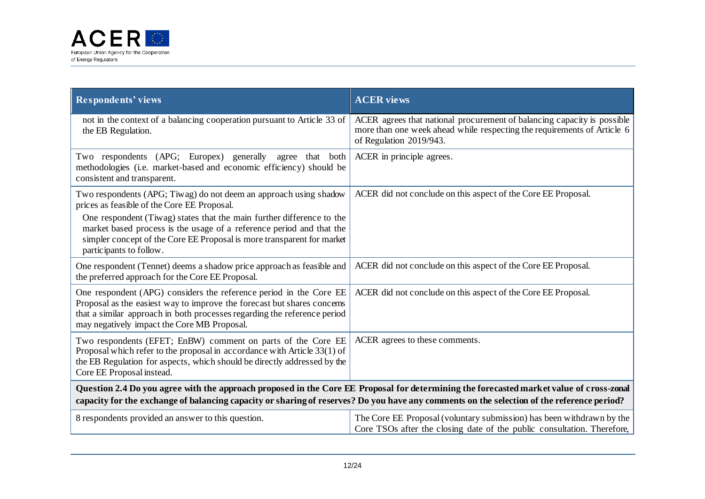

| <b>Respondents' views</b>                                                                                                                                                                                                                                                             | <b>ACER</b> views                                                                                                                                                             |
|---------------------------------------------------------------------------------------------------------------------------------------------------------------------------------------------------------------------------------------------------------------------------------------|-------------------------------------------------------------------------------------------------------------------------------------------------------------------------------|
| not in the context of a balancing cooperation pursuant to Article 33 of<br>the EB Regulation.                                                                                                                                                                                         | ACER agrees that national procurement of balancing capacity is possible<br>more than one week ahead while respecting the requirements of Article 6<br>of Regulation 2019/943. |
| Two respondents (APG; Europex) generally<br>agree that both<br>methodologies (i.e. market-based and economic efficiency) should be<br>consistent and transparent.                                                                                                                     | ACER in principle agrees.                                                                                                                                                     |
| Two respondents (APG; Tiwag) do not deem an approach using shadow<br>prices as feasible of the Core EE Proposal.                                                                                                                                                                      | ACER did not conclude on this aspect of the Core EE Proposal.                                                                                                                 |
| One respondent (Tiwag) states that the main further difference to the<br>market based process is the usage of a reference period and that the<br>simpler concept of the Core EE Proposal is more transparent for market<br>participants to follow.                                    |                                                                                                                                                                               |
| One respondent (Tennet) deems a shadow price approach as feasible and<br>the preferred approach for the Core EE Proposal.                                                                                                                                                             | ACER did not conclude on this aspect of the Core EE Proposal.                                                                                                                 |
| One respondent (APG) considers the reference period in the Core EE<br>Proposal as the easiest way to improve the forecast but shares concerns<br>that a similar approach in both processes regarding the reference period<br>may negatively impact the Core MB Proposal.              | ACER did not conclude on this aspect of the Core EE Proposal.                                                                                                                 |
| Two respondents (EFET; EnBW) comment on parts of the Core EE<br>Proposal which refer to the proposal in accordance with Article 33(1) of<br>the EB Regulation for aspects, which should be directly addressed by the<br>Core EE Proposal instead.                                     | ACER agrees to these comments.                                                                                                                                                |
| Question 2.4 Do you agree with the approach proposed in the Core EE Proposal for determining the forecasted market value of cross-zonal<br>capacity for the exchange of balancing capacity or sharing of reserves? Do you have any comments on the selection of the reference period? |                                                                                                                                                                               |
| 8 respondents provided an answer to this question.                                                                                                                                                                                                                                    | The Core EE Proposal (voluntary submission) has been withdrawn by the<br>Core TSOs after the closing date of the public consultation. Therefore,                              |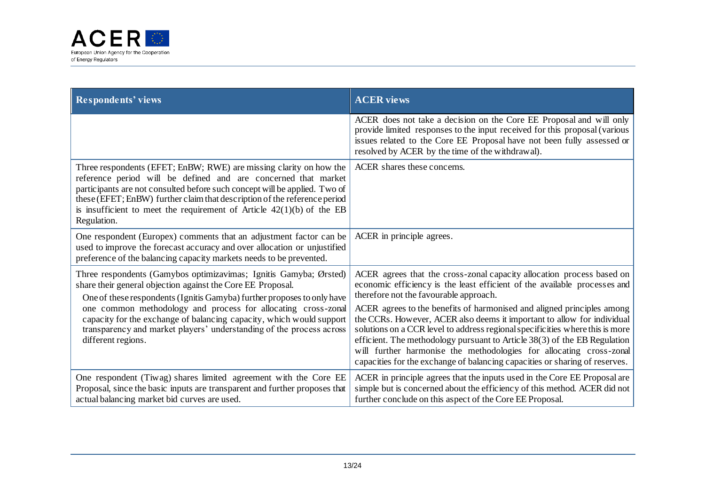

| <b>Respondents' views</b>                                                                                                                                                                                                                                                                                                                                                                                                                          | <b>ACER</b> views                                                                                                                                                                                                                                                                                                                                                                                                                                                                                                                                                                                                                                                     |
|----------------------------------------------------------------------------------------------------------------------------------------------------------------------------------------------------------------------------------------------------------------------------------------------------------------------------------------------------------------------------------------------------------------------------------------------------|-----------------------------------------------------------------------------------------------------------------------------------------------------------------------------------------------------------------------------------------------------------------------------------------------------------------------------------------------------------------------------------------------------------------------------------------------------------------------------------------------------------------------------------------------------------------------------------------------------------------------------------------------------------------------|
|                                                                                                                                                                                                                                                                                                                                                                                                                                                    | ACER does not take a decision on the Core EE Proposal and will only<br>provide limited responses to the input received for this proposal (various<br>issues related to the Core EE Proposal have not been fully assessed or<br>resolved by ACER by the time of the withdrawal).                                                                                                                                                                                                                                                                                                                                                                                       |
| Three respondents (EFET; EnBW; RWE) are missing clarity on how the<br>reference period will be defined and are concerned that market<br>participants are not consulted before such concept will be applied. Two of<br>these (EFET; EnBW) further claim that description of the reference period<br>is insufficient to meet the requirement of Article $42(1)(b)$ of the EB<br>Regulation.                                                          | ACER shares these concerns.                                                                                                                                                                                                                                                                                                                                                                                                                                                                                                                                                                                                                                           |
| One respondent (Europex) comments that an adjustment factor can be<br>used to improve the forecast accuracy and over allocation or unjustified<br>preference of the balancing capacity markets needs to be prevented.                                                                                                                                                                                                                              | ACER in principle agrees.                                                                                                                                                                                                                                                                                                                                                                                                                                                                                                                                                                                                                                             |
| Three respondents (Gamybos optimizavimas; Ignitis Gamyba; Ørsted)<br>share their general objection against the Core EE Proposal.<br>One of these respondents (Ignitis Gamyba) further proposes to only have<br>one common methodology and process for allocating cross-zonal<br>capacity for the exchange of balancing capacity, which would support<br>transparency and market players' understanding of the process across<br>different regions. | ACER agrees that the cross-zonal capacity allocation process based on<br>economic efficiency is the least efficient of the available processes and<br>therefore not the favourable approach.<br>ACER agrees to the benefits of harmonised and aligned principles among<br>the CCRs. However, ACER also deems it important to allow for individual<br>solutions on a CCR level to address regional specificities where this is more<br>efficient. The methodology pursuant to Article 38(3) of the EB Regulation<br>will further harmonise the methodologies for allocating cross-zonal<br>capacities for the exchange of balancing capacities or sharing of reserves. |
| One respondent (Tiwag) shares limited agreement with the Core EE<br>Proposal, since the basic inputs are transparent and further proposes that<br>actual balancing market bid curves are used.                                                                                                                                                                                                                                                     | ACER in principle agrees that the inputs used in the Core EE Proposal are<br>simple but is concerned about the efficiency of this method. ACER did not<br>further conclude on this aspect of the Core EE Proposal.                                                                                                                                                                                                                                                                                                                                                                                                                                                    |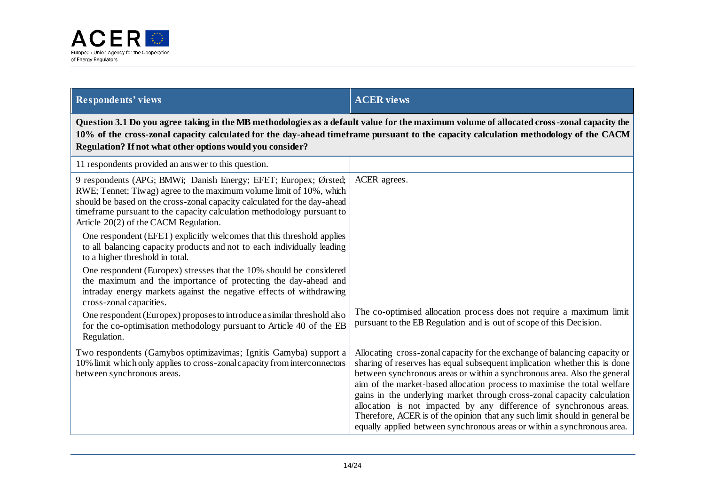

| <b>Respondents' views</b>                                                                                                                                                                                                                                                                                                                    | <b>ACER views</b>                                                                                                                                                                                                                                                                                                                                                                                                                                                                                                                                                                                                        |
|----------------------------------------------------------------------------------------------------------------------------------------------------------------------------------------------------------------------------------------------------------------------------------------------------------------------------------------------|--------------------------------------------------------------------------------------------------------------------------------------------------------------------------------------------------------------------------------------------------------------------------------------------------------------------------------------------------------------------------------------------------------------------------------------------------------------------------------------------------------------------------------------------------------------------------------------------------------------------------|
| Question 3.1 Do you agree taking in the MB methodologies as a default value for the maximum volume of allocated cross-zonal capacity the<br>10% of the cross-zonal capacity calculated for the day-ahead timeframe pursuant to the capacity calculation methodology of the CACM<br>Regulation? If not what other options would you consider? |                                                                                                                                                                                                                                                                                                                                                                                                                                                                                                                                                                                                                          |
| 11 respondents provided an answer to this question.                                                                                                                                                                                                                                                                                          |                                                                                                                                                                                                                                                                                                                                                                                                                                                                                                                                                                                                                          |
| 9 respondents (APG; BMWi; Danish Energy; EFET; Europex; Ørsted;<br>RWE; Tennet; Tiwag) agree to the maximum volume limit of 10%, which<br>should be based on the cross-zonal capacity calculated for the day-ahead<br>timeframe pursuant to the capacity calculation methodology pursuant to<br>Article 20(2) of the CACM Regulation.        | ACER agrees.                                                                                                                                                                                                                                                                                                                                                                                                                                                                                                                                                                                                             |
| One respondent (EFET) explicitly welcomes that this threshold applies<br>to all balancing capacity products and not to each individually leading<br>to a higher threshold in total.                                                                                                                                                          |                                                                                                                                                                                                                                                                                                                                                                                                                                                                                                                                                                                                                          |
| One respondent (Europex) stresses that the 10% should be considered<br>the maximum and the importance of protecting the day-ahead and<br>intraday energy markets against the negative effects of withdrawing<br>cross-zonal capacities.                                                                                                      |                                                                                                                                                                                                                                                                                                                                                                                                                                                                                                                                                                                                                          |
| One respondent (Europex) proposes to introduce a similar threshold also<br>for the co-optimisation methodology pursuant to Article 40 of the EB<br>Regulation.                                                                                                                                                                               | The co-optimised allocation process does not require a maximum limit<br>pursuant to the EB Regulation and is out of scope of this Decision.                                                                                                                                                                                                                                                                                                                                                                                                                                                                              |
| Two respondents (Gamybos optimizavimas; Ignitis Gamyba) support a<br>10% limit which only applies to cross-zonal capacity from interconnectors<br>between synchronous areas.                                                                                                                                                                 | Allocating cross-zonal capacity for the exchange of balancing capacity or<br>sharing of reserves has equal subsequent implication whether this is done<br>between synchronous areas or within a synchronous area. Also the general<br>aim of the market-based allocation process to maximise the total welfare<br>gains in the underlying market through cross-zonal capacity calculation<br>allocation is not impacted by any difference of synchronous areas.<br>Therefore, ACER is of the opinion that any such limit should in general be<br>equally applied between synchronous areas or within a synchronous area. |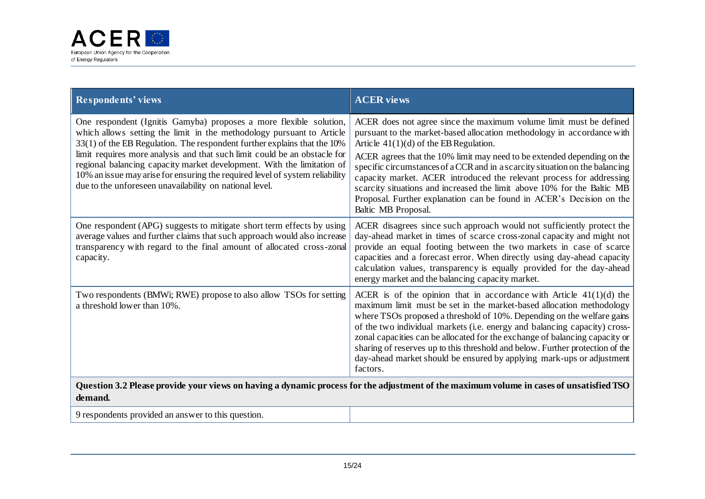

| Respondents' views                                                                                                                                                                                                                                                                                                                                                                                                                                                                                                        | <b>ACER</b> views                                                                                                                                                                                                                                                                                                                                                                                                                                                                                                                                                                                     |
|---------------------------------------------------------------------------------------------------------------------------------------------------------------------------------------------------------------------------------------------------------------------------------------------------------------------------------------------------------------------------------------------------------------------------------------------------------------------------------------------------------------------------|-------------------------------------------------------------------------------------------------------------------------------------------------------------------------------------------------------------------------------------------------------------------------------------------------------------------------------------------------------------------------------------------------------------------------------------------------------------------------------------------------------------------------------------------------------------------------------------------------------|
| One respondent (Ignitis Gamyba) proposes a more flexible solution,<br>which allows setting the limit in the methodology pursuant to Article<br>33(1) of the EB Regulation. The respondent further explains that the 10%<br>limit requires more analysis and that such limit could be an obstacle for<br>regional balancing capacity market development. With the limitation of<br>10% an issue may arise for ensuring the required level of system reliability<br>due to the unforeseen unavailability on national level. | ACER does not agree since the maximum volume limit must be defined<br>pursuant to the market-based allocation methodology in accordance with<br>Article $41(1)(d)$ of the EB Regulation.<br>ACER agrees that the 10% limit may need to be extended depending on the<br>specific circumstances of a CCR and in a scarcity situation on the balancing<br>capacity market. ACER introduced the relevant process for addressing<br>scarcity situations and increased the limit above 10% for the Baltic MB<br>Proposal. Further explanation can be found in ACER's Decision on the<br>Baltic MB Proposal. |
| One respondent (APG) suggests to mitigate short term effects by using<br>average values and further claims that such approach would also increase<br>transparency with regard to the final amount of allocated cross-zonal<br>capacity.                                                                                                                                                                                                                                                                                   | ACER disagrees since such approach would not sufficiently protect the<br>day-ahead market in times of scarce cross-zonal capacity and might not<br>provide an equal footing between the two markets in case of scarce<br>capacities and a forecast error. When directly using day-ahead capacity<br>calculation values, transparency is equally provided for the day-ahead<br>energy market and the balancing capacity market.                                                                                                                                                                        |
| Two respondents (BMWi; RWE) propose to also allow TSOs for setting<br>a threshold lower than 10%.                                                                                                                                                                                                                                                                                                                                                                                                                         | ACER is of the opinion that in accordance with Article $41(1)(d)$ the<br>maximum limit must be set in the market-based allocation methodology<br>where TSOs proposed a threshold of 10%. Depending on the welfare gains<br>of the two individual markets (i.e. energy and balancing capacity) cross-<br>zonal capacities can be allocated for the exchange of balancing capacity or<br>sharing of reserves up to this threshold and below. Further protection of the<br>day-ahead market should be ensured by applying mark-ups or adjustment<br>factors.                                             |
| Question 3.2 Please provide your views on having a dynamic process for the adjustment of the maximum volume in cases of unsatisfied TSO<br>demand.                                                                                                                                                                                                                                                                                                                                                                        |                                                                                                                                                                                                                                                                                                                                                                                                                                                                                                                                                                                                       |
| 9 respondents provided an answer to this question.                                                                                                                                                                                                                                                                                                                                                                                                                                                                        |                                                                                                                                                                                                                                                                                                                                                                                                                                                                                                                                                                                                       |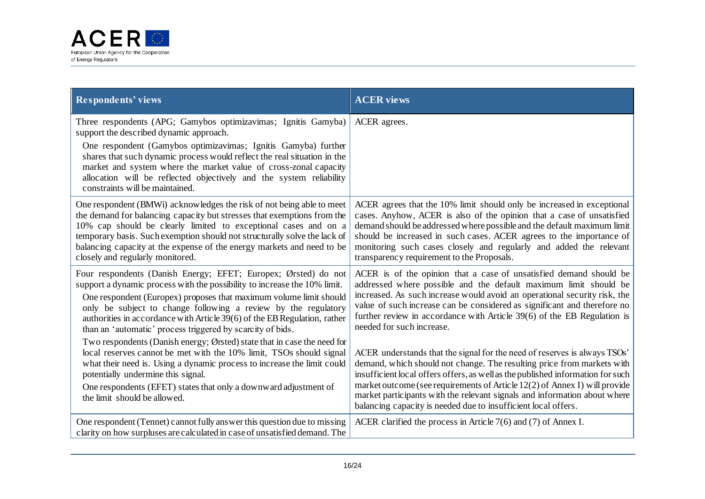

| Respondents' views                                                                                                                                                                                                                                                                                                                                                                                                             | <b>ACER</b> views                                                                                                                                                                                                                                                                                                                                                                                                                                                   |
|--------------------------------------------------------------------------------------------------------------------------------------------------------------------------------------------------------------------------------------------------------------------------------------------------------------------------------------------------------------------------------------------------------------------------------|---------------------------------------------------------------------------------------------------------------------------------------------------------------------------------------------------------------------------------------------------------------------------------------------------------------------------------------------------------------------------------------------------------------------------------------------------------------------|
| Three respondents (APG; Gamybos optimizavimas; Ignitis Gamyba)<br>support the described dynamic approach.                                                                                                                                                                                                                                                                                                                      | ACER agrees.                                                                                                                                                                                                                                                                                                                                                                                                                                                        |
| One respondent (Gamybos optimizavimas; Ignitis Gamyba) further<br>shares that such dynamic process would reflect the real situation in the<br>market and system where the market value of cross-zonal capacity<br>allocation will be reflected objectively and the system reliability<br>constraints will be maintained.                                                                                                       |                                                                                                                                                                                                                                                                                                                                                                                                                                                                     |
| One respondent (BMWi) acknowledges the risk of not being able to meet<br>the demand for balancing capacity but stresses that exemptions from the<br>10% cap should be clearly limited to exceptional cases and on a<br>temporary basis. Such exemption should not structurally solve the lack of<br>balancing capacity at the expense of the energy markets and need to be<br>closely and regularly monitored.                 | ACER agrees that the 10% limit should only be increased in exceptional<br>cases. Anyhow, ACER is also of the opinion that a case of unsatisfied<br>demand should be addressed where possible and the default maximum limit<br>should be increased in such cases. ACER agrees to the importance of<br>monitoring such cases closely and regularly and added the relevant<br>transparency requirement to the Proposals.                                               |
| Four respondents (Danish Energy; EFET; Europex; Ørsted) do not<br>support a dynamic process with the possibility to increase the 10% limit.<br>One respondent (Europex) proposes that maximum volume limit should<br>only be subject to change following a review by the regulatory<br>authorities in accordance with Article 39(6) of the EB Regulation, rather<br>than an 'automatic' process triggered by scarcity of bids. | ACER is of the opinion that a case of unsatisfied demand should be<br>addressed where possible and the default maximum limit should be<br>increased. As such increase would avoid an operational security risk, the<br>value of such increase can be considered as significant and therefore no<br>further review in accordance with Article 39(6) of the EB Regulation is<br>needed for such increase.                                                             |
| Two respondents (Danish energy; Ørsted) state that in case the need for<br>local reserves cannot be met with the 10% limit, TSOs should signal<br>what their need is. Using a dynamic process to increase the limit could<br>potentially undermine this signal.<br>One respondents (EFET) states that only a downward adjustment of<br>the limit should be allowed.                                                            | ACER understands that the signal for the need of reserves is always TSOs'<br>demand, which should not change. The resulting price from markets with<br>insufficient local offers offers, as well as the published information for such<br>market outcome (see requirements of Article 12(2) of Annex I) will provide<br>market participants with the relevant signals and information about where<br>balancing capacity is needed due to insufficient local offers. |
| One respondent (Tennet) cannot fully answer this question due to missing<br>clarity on how surpluses are calculated in case of unsatisfied demand. The                                                                                                                                                                                                                                                                         | ACER clarified the process in Article $7(6)$ and $(7)$ of Annex I.                                                                                                                                                                                                                                                                                                                                                                                                  |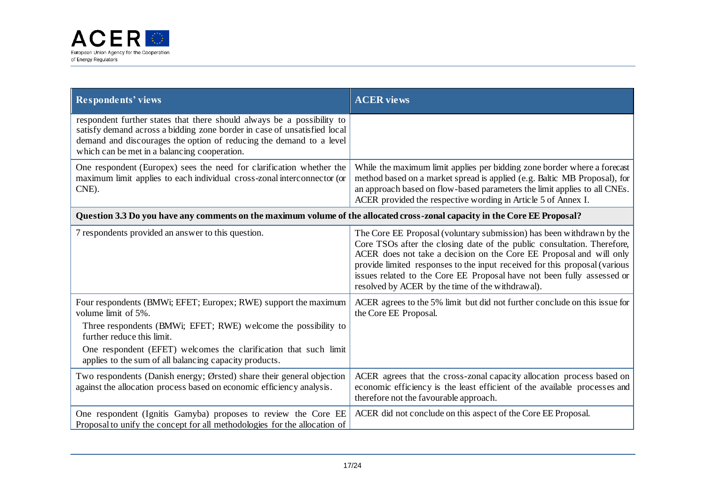

| <b>Respondents' views</b>                                                                                                                                                                                                                                                 | <b>ACER</b> views                                                                                                                                                                                                                                                                                                                                                                                                                   |
|---------------------------------------------------------------------------------------------------------------------------------------------------------------------------------------------------------------------------------------------------------------------------|-------------------------------------------------------------------------------------------------------------------------------------------------------------------------------------------------------------------------------------------------------------------------------------------------------------------------------------------------------------------------------------------------------------------------------------|
| respondent further states that there should always be a possibility to<br>satisfy demand across a bidding zone border in case of unsatisfied local<br>demand and discourages the option of reducing the demand to a level<br>which can be met in a balancing cooperation. |                                                                                                                                                                                                                                                                                                                                                                                                                                     |
| One respondent (Europex) sees the need for clarification whether the<br>maximum limit applies to each individual cross-zonal interconnector (or<br>CNE).                                                                                                                  | While the maximum limit applies per bidding zone border where a forecast<br>method based on a market spread is applied (e.g. Baltic MB Proposal), for<br>an approach based on flow-based parameters the limit applies to all CNEs.<br>ACER provided the respective wording in Article 5 of Annex I.                                                                                                                                 |
| Question 3.3 Do you have any comments on the maximum volume of the allocated cross-zonal capacity in the Core EE Proposal?                                                                                                                                                |                                                                                                                                                                                                                                                                                                                                                                                                                                     |
| 7 respondents provided an answer to this question.                                                                                                                                                                                                                        | The Core EE Proposal (voluntary submission) has been withdrawn by the<br>Core TSOs after the closing date of the public consultation. Therefore,<br>ACER does not take a decision on the Core EE Proposal and will only<br>provide limited responses to the input received for this proposal (various<br>issues related to the Core EE Proposal have not been fully assessed or<br>resolved by ACER by the time of the withdrawal). |
| Four respondents (BMWi; EFET; Europex; RWE) support the maximum<br>volume limit of 5%.<br>Three respondents (BMWi; EFET; RWE) welcome the possibility to<br>further reduce this limit.<br>One respondent (EFET) welcomes the clarification that such limit                | ACER agrees to the 5% limit but did not further conclude on this issue for<br>the Core EE Proposal.                                                                                                                                                                                                                                                                                                                                 |
| applies to the sum of all balancing capacity products.<br>Two respondents (Danish energy; Ørsted) share their general objection<br>against the allocation process based on economic efficiency analysis.                                                                  | ACER agrees that the cross-zonal capacity allocation process based on<br>economic efficiency is the least efficient of the available processes and<br>therefore not the favourable approach.                                                                                                                                                                                                                                        |
| One respondent (Ignitis Gamyba) proposes to review the Core EE<br>Proposal to unify the concept for all methodologies for the allocation of                                                                                                                               | ACER did not conclude on this aspect of the Core EE Proposal.                                                                                                                                                                                                                                                                                                                                                                       |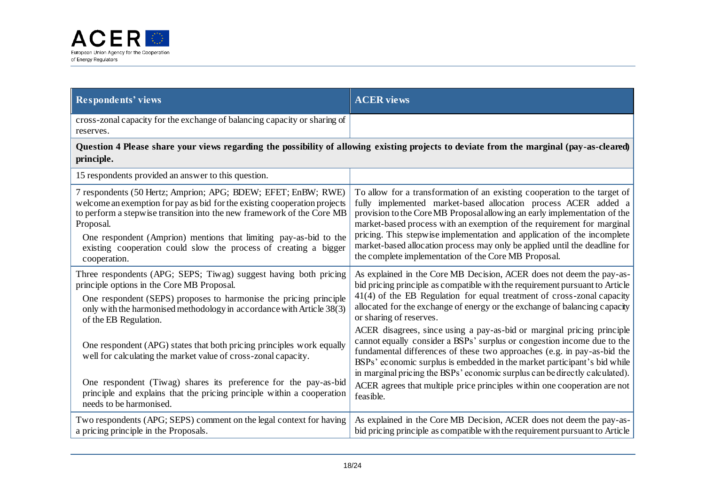

| <b>Respondents' views</b>                                                                                                                                                                                                         | <b>ACER</b> views                                                                                                                                                                                                                                                                                                                                                                       |
|-----------------------------------------------------------------------------------------------------------------------------------------------------------------------------------------------------------------------------------|-----------------------------------------------------------------------------------------------------------------------------------------------------------------------------------------------------------------------------------------------------------------------------------------------------------------------------------------------------------------------------------------|
| cross-zonal capacity for the exchange of balancing capacity or sharing of<br>reserves.                                                                                                                                            |                                                                                                                                                                                                                                                                                                                                                                                         |
| Question 4 Please share your views regarding the possibility of allowing existing projects to deviate from the marginal (pay-as-cleared)<br>principle.                                                                            |                                                                                                                                                                                                                                                                                                                                                                                         |
| 15 respondents provided an answer to this question.                                                                                                                                                                               |                                                                                                                                                                                                                                                                                                                                                                                         |
| 7 respondents (50 Hertz; Amprion; APG; BDEW; EFET; EnBW; RWE)<br>welcome an exemption for pay as bid for the existing cooperation projects<br>to perform a stepwise transition into the new framework of the Core MB<br>Proposal. | To allow for a transformation of an existing cooperation to the target of<br>fully implemented market-based allocation process ACER added a<br>provision to the Core MB Proposal allowing an early implementation of the<br>market-based process with an exemption of the requirement for marginal<br>pricing. This stepwise implementation and application of the incomplete           |
| One respondent (Amprion) mentions that limiting pay-as-bid to the<br>existing cooperation could slow the process of creating a bigger<br>cooperation.                                                                             | market-based allocation process may only be applied until the deadline for<br>the complete implementation of the Core MB Proposal.                                                                                                                                                                                                                                                      |
| Three respondents (APG; SEPS; Tiwag) suggest having both pricing<br>principle options in the Core MB Proposal.                                                                                                                    | As explained in the Core MB Decision, ACER does not deem the pay-as-<br>bid pricing principle as compatible with the requirement pursuant to Article                                                                                                                                                                                                                                    |
| One respondent (SEPS) proposes to harmonise the pricing principle<br>only with the harmonised methodology in accordance with Article 38(3)<br>of the EB Regulation.                                                               | 41(4) of the EB Regulation for equal treatment of cross-zonal capacity<br>allocated for the exchange of energy or the exchange of balancing capacity<br>or sharing of reserves.                                                                                                                                                                                                         |
| One respondent (APG) states that both pricing principles work equally<br>well for calculating the market value of cross-zonal capacity.                                                                                           | ACER disagrees, since using a pay-as-bid or marginal pricing principle<br>cannot equally consider a BSPs' surplus or congestion income due to the<br>fundamental differences of these two approaches (e.g. in pay-as-bid the<br>BSPs' economic surplus is embedded in the market participant's bid while<br>in marginal pricing the BSPs' economic surplus can be directly calculated). |
| One respondent (Tiwag) shares its preference for the pay-as-bid<br>principle and explains that the pricing principle within a cooperation<br>needs to be harmonised.                                                              | ACER agrees that multiple price principles within one cooperation are not<br>feasible.                                                                                                                                                                                                                                                                                                  |
| Two respondents (APG; SEPS) comment on the legal context for having<br>a pricing principle in the Proposals.                                                                                                                      | As explained in the Core MB Decision, ACER does not deem the pay-as-<br>bid pricing principle as compatible with the requirement pursuant to Article                                                                                                                                                                                                                                    |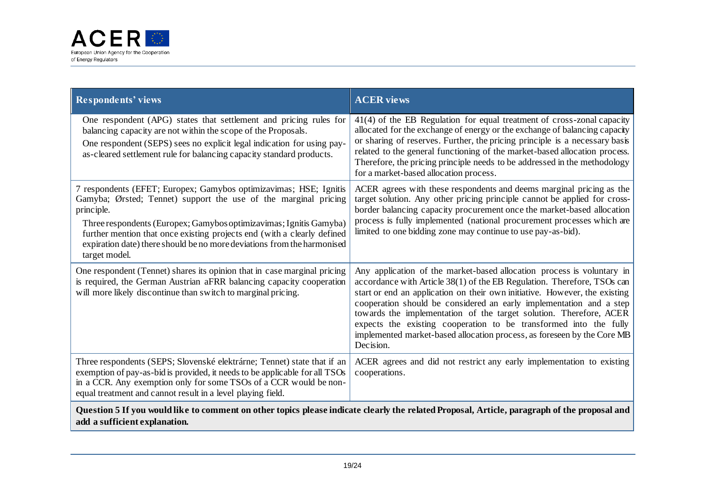

| <b>Respondents' views</b>                                                                                                                                                                                                                                                                                                                                                                       | <b>ACER</b> views                                                                                                                                                                                                                                                                                                                                                                                                                                                                                                                         |
|-------------------------------------------------------------------------------------------------------------------------------------------------------------------------------------------------------------------------------------------------------------------------------------------------------------------------------------------------------------------------------------------------|-------------------------------------------------------------------------------------------------------------------------------------------------------------------------------------------------------------------------------------------------------------------------------------------------------------------------------------------------------------------------------------------------------------------------------------------------------------------------------------------------------------------------------------------|
| One respondent (APG) states that settlement and pricing rules for<br>balancing capacity are not within the scope of the Proposals.<br>One respondent (SEPS) sees no explicit legal indication for using pay-<br>as-cleared settlement rule for balancing capacity standard products.                                                                                                            | 41(4) of the EB Regulation for equal treatment of cross-zonal capacity<br>allocated for the exchange of energy or the exchange of balancing capacity<br>or sharing of reserves. Further, the pricing principle is a necessary basis<br>related to the general functioning of the market-based allocation process.<br>Therefore, the pricing principle needs to be addressed in the methodology<br>for a market-based allocation process.                                                                                                  |
| 7 respondents (EFET; Europex; Gamybos optimizavimas; HSE; Ignitis<br>Gamyba; Ørsted; Tennet) support the use of the marginal pricing<br>principle.<br>Three respondents (Europex; Gamybos optimizavimas; Ignitis Gamyba)<br>further mention that once existing projects end (with a clearly defined<br>expiration date) there should be no more deviations from the harmonised<br>target model. | ACER agrees with these respondents and deems marginal pricing as the<br>target solution. Any other pricing principle cannot be applied for cross-<br>border balancing capacity procurement once the market-based allocation<br>process is fully implemented (national procurement processes which are<br>limited to one bidding zone may continue to use pay-as-bid).                                                                                                                                                                     |
| One respondent (Tennet) shares its opinion that in case marginal pricing<br>is required, the German Austrian aFRR balancing capacity cooperation<br>will more likely discontinue than switch to marginal pricing.                                                                                                                                                                               | Any application of the market-based allocation process is voluntary in<br>accordance with Article 38(1) of the EB Regulation. Therefore, TSOs can<br>start or end an application on their own initiative. However, the existing<br>cooperation should be considered an early implementation and a step<br>towards the implementation of the target solution. Therefore, ACER<br>expects the existing cooperation to be transformed into the fully<br>implemented market-based allocation process, as foreseen by the Core MB<br>Decision. |
| Three respondents (SEPS; Slovenské elektrárne; Tennet) state that if an<br>exemption of pay-as-bid is provided, it needs to be applicable for all TSOs<br>in a CCR. Any exemption only for some TSOs of a CCR would be non-<br>equal treatment and cannot result in a level playing field.                                                                                                      | ACER agrees and did not restrict any early implementation to existing<br>cooperations.                                                                                                                                                                                                                                                                                                                                                                                                                                                    |
| Question 5 If you would like to comment on other topics please indicate clearly the related Proposal, Article, paragraph of the proposal and<br>add a sufficient explanation.                                                                                                                                                                                                                   |                                                                                                                                                                                                                                                                                                                                                                                                                                                                                                                                           |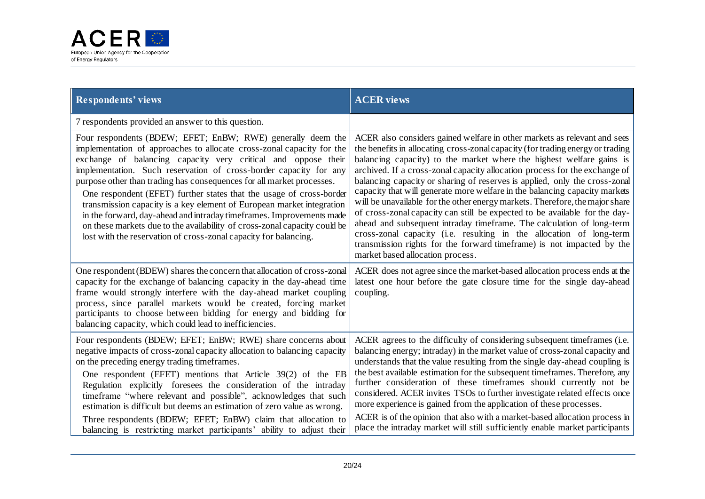

| <b>Respondents' views</b>                                                                                                                                                                                                                                                                                                                                                                                                                                                                                                                                                                                                                                                                                                    | <b>ACER</b> views                                                                                                                                                                                                                                                                                                                                                                                                                                                                                                                                                                                                                                                                                                                                                                                                                                                                                       |
|------------------------------------------------------------------------------------------------------------------------------------------------------------------------------------------------------------------------------------------------------------------------------------------------------------------------------------------------------------------------------------------------------------------------------------------------------------------------------------------------------------------------------------------------------------------------------------------------------------------------------------------------------------------------------------------------------------------------------|---------------------------------------------------------------------------------------------------------------------------------------------------------------------------------------------------------------------------------------------------------------------------------------------------------------------------------------------------------------------------------------------------------------------------------------------------------------------------------------------------------------------------------------------------------------------------------------------------------------------------------------------------------------------------------------------------------------------------------------------------------------------------------------------------------------------------------------------------------------------------------------------------------|
| 7 respondents provided an answer to this question.                                                                                                                                                                                                                                                                                                                                                                                                                                                                                                                                                                                                                                                                           |                                                                                                                                                                                                                                                                                                                                                                                                                                                                                                                                                                                                                                                                                                                                                                                                                                                                                                         |
| Four respondents (BDEW; EFET; EnBW; RWE) generally deem the<br>implementation of approaches to allocate cross-zonal capacity for the<br>exchange of balancing capacity very critical and oppose their<br>implementation. Such reservation of cross-border capacity for any<br>purpose other than trading has consequences for all market processes.<br>One respondent (EFET) further states that the usage of cross-border<br>transmission capacity is a key element of European market integration<br>in the forward, day-ahead and intraday timeframes. Improvements made<br>on these markets due to the availability of cross-zonal capacity could be<br>lost with the reservation of cross-zonal capacity for balancing. | ACER also considers gained welfare in other markets as relevant and sees<br>the benefits in allocating cross-zonal capacity (for trading energy or trading<br>balancing capacity) to the market where the highest welfare gains is<br>archived. If a cross-zonal capacity allocation process for the exchange of<br>balancing capacity or sharing of reserves is applied, only the cross-zonal<br>capacity that will generate more welfare in the balancing capacity markets<br>will be unavailable for the other energy markets. Therefore, the major share<br>of cross-zonal capacity can still be expected to be available for the day-<br>ahead and subsequent intraday timeframe. The calculation of long-term<br>cross-zonal capacity (i.e. resulting in the allocation of long-term<br>transmission rights for the forward timeframe) is not impacted by the<br>market based allocation process. |
| One respondent (BDEW) shares the concern that allocation of cross-zonal<br>capacity for the exchange of balancing capacity in the day-ahead time<br>frame would strongly interfere with the day-ahead market coupling<br>process, since parallel markets would be created, forcing market<br>participants to choose between bidding for energy and bidding for<br>balancing capacity, which could lead to inefficiencies.                                                                                                                                                                                                                                                                                                    | ACER does not agree since the market-based allocation process ends at the<br>latest one hour before the gate closure time for the single day-ahead<br>coupling.                                                                                                                                                                                                                                                                                                                                                                                                                                                                                                                                                                                                                                                                                                                                         |
| Four respondents (BDEW; EFET; EnBW; RWE) share concerns about<br>negative impacts of cross-zonal capacity allocation to balancing capacity<br>on the preceding energy trading time frames.<br>One respondent (EFET) mentions that Article 39(2) of the EB<br>Regulation explicitly foresees the consideration of the intraday<br>timeframe "where relevant and possible", acknowledges that such<br>estimation is difficult but deems an estimation of zero value as wrong.<br>Three respondents (BDEW; EFET; EnBW) claim that allocation to<br>balancing is restricting market participants' ability to adjust their                                                                                                        | ACER agrees to the difficulty of considering subsequent timeframes (i.e.<br>balancing energy; intraday) in the market value of cross-zonal capacity and<br>understands that the value resulting from the single day-ahead coupling is<br>the best available estimation for the subsequent timeframes. Therefore, any<br>further consideration of these timeframes should currently not be<br>considered. ACER invites TSOs to further investigate related effects once<br>more experience is gained from the application of these processes.<br>ACER is of the opinion that also with a market-based allocation process in<br>place the intraday market will still sufficiently enable market participants                                                                                                                                                                                              |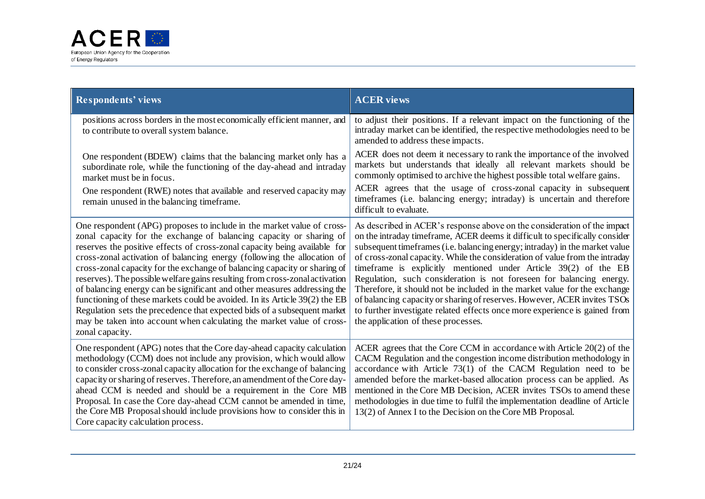

| <b>Respondents' views</b>                                                                                                                                                                                                                                                                                                                                                                                                                                                                                                                                                                                                                                                                                                                                                                           | <b>ACER</b> views                                                                                                                                                                                                                                                                                                                                                                                                                                                                                                                                                                                                                                                                                                                              |
|-----------------------------------------------------------------------------------------------------------------------------------------------------------------------------------------------------------------------------------------------------------------------------------------------------------------------------------------------------------------------------------------------------------------------------------------------------------------------------------------------------------------------------------------------------------------------------------------------------------------------------------------------------------------------------------------------------------------------------------------------------------------------------------------------------|------------------------------------------------------------------------------------------------------------------------------------------------------------------------------------------------------------------------------------------------------------------------------------------------------------------------------------------------------------------------------------------------------------------------------------------------------------------------------------------------------------------------------------------------------------------------------------------------------------------------------------------------------------------------------------------------------------------------------------------------|
| positions across borders in the most economically efficient manner, and<br>to contribute to overall system balance.                                                                                                                                                                                                                                                                                                                                                                                                                                                                                                                                                                                                                                                                                 | to adjust their positions. If a relevant impact on the functioning of the<br>intraday market can be identified, the respective methodologies need to be<br>amended to address these impacts.                                                                                                                                                                                                                                                                                                                                                                                                                                                                                                                                                   |
| One respondent (BDEW) claims that the balancing market only has a<br>subordinate role, while the functioning of the day-ahead and intraday<br>market must be in focus.                                                                                                                                                                                                                                                                                                                                                                                                                                                                                                                                                                                                                              | ACER does not deem it necessary to rank the importance of the involved<br>markets but understands that ideally all relevant markets should be<br>commonly optimised to archive the highest possible total welfare gains.                                                                                                                                                                                                                                                                                                                                                                                                                                                                                                                       |
| One respondent (RWE) notes that available and reserved capacity may<br>remain unused in the balancing timeframe.                                                                                                                                                                                                                                                                                                                                                                                                                                                                                                                                                                                                                                                                                    | ACER agrees that the usage of cross-zonal capacity in subsequent<br>timeframes (i.e. balancing energy; intraday) is uncertain and therefore<br>difficult to evaluate.                                                                                                                                                                                                                                                                                                                                                                                                                                                                                                                                                                          |
| One respondent (APG) proposes to include in the market value of cross-<br>zonal capacity for the exchange of balancing capacity or sharing of<br>reserves the positive effects of cross-zonal capacity being available for<br>cross-zonal activation of balancing energy (following the allocation of<br>cross-zonal capacity for the exchange of balancing capacity or sharing of<br>reserves). The possible welfare gains resulting from cross-zonal activation<br>of balancing energy can be significant and other measures addressing the<br>functioning of these markets could be avoided. In its Article 39(2) the EB<br>Regulation sets the precedence that expected bids of a subsequent market<br>may be taken into account when calculating the market value of cross-<br>zonal capacity. | As described in ACER's response above on the consideration of the impact<br>on the intraday timeframe, ACER deems it difficult to specifically consider<br>subsequent timeframes (i.e. balancing energy; intraday) in the market value<br>of cross-zonal capacity. While the consideration of value from the intraday<br>timeframe is explicitly mentioned under Article 39(2) of the EB<br>Regulation, such consideration is not foreseen for balancing energy.<br>Therefore, it should not be included in the market value for the exchange<br>of balancing capacity or sharing of reserves. However, ACER invites TSOs<br>to further investigate related effects once more experience is gained from<br>the application of these processes. |
| One respondent (APG) notes that the Core day-ahead capacity calculation<br>methodology (CCM) does not include any provision, which would allow<br>to consider cross-zonal capacity allocation for the exchange of balancing<br>capacity or sharing of reserves. Therefore, an amendment of the Core day-<br>ahead CCM is needed and should be a requirement in the Core MB<br>Proposal. In case the Core day-ahead CCM cannot be amended in time,<br>the Core MB Proposal should include provisions how to consider this in<br>Core capacity calculation process.                                                                                                                                                                                                                                   | ACER agrees that the Core CCM in accordance with Article 20(2) of the<br>CACM Regulation and the congestion income distribution methodology in<br>accordance with Article $73(1)$ of the CACM Regulation need to be<br>amended before the market-based allocation process can be applied. As<br>mentioned in the Core MB Decision, ACER invites TSOs to amend these<br>methodologies in due time to fulfil the implementation deadline of Article<br>13(2) of Annex I to the Decision on the Core MB Proposal.                                                                                                                                                                                                                                 |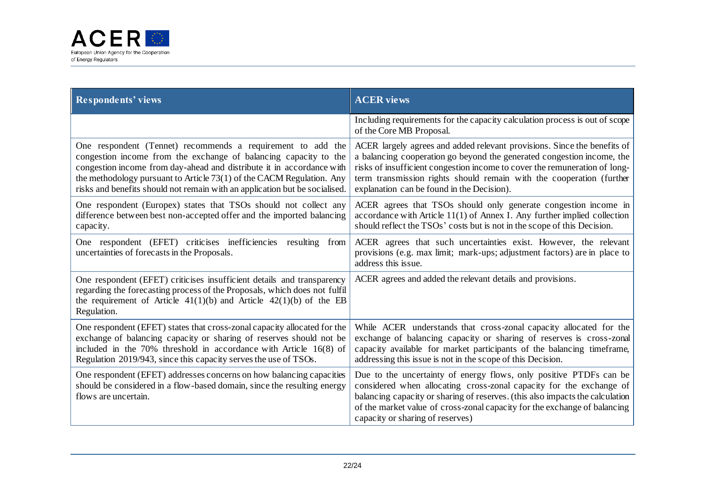

| <b>Respondents' views</b>                                                                                                                                                                                                                    | <b>ACER</b> views                                                                                                                                                                                                                                                                                                                           |
|----------------------------------------------------------------------------------------------------------------------------------------------------------------------------------------------------------------------------------------------|---------------------------------------------------------------------------------------------------------------------------------------------------------------------------------------------------------------------------------------------------------------------------------------------------------------------------------------------|
|                                                                                                                                                                                                                                              | Including requirements for the capacity calculation process is out of scope<br>of the Core MB Proposal.                                                                                                                                                                                                                                     |
| One respondent (Tennet) recommends a requirement to add the                                                                                                                                                                                  | ACER largely agrees and added relevant provisions. Since the benefits of                                                                                                                                                                                                                                                                    |
| congestion income from the exchange of balancing capacity to the                                                                                                                                                                             | a balancing cooperation go beyond the generated congestion income, the                                                                                                                                                                                                                                                                      |
| congestion income from day-ahead and distribute it in accordance with                                                                                                                                                                        | risks of insufficient congestion income to cover the remuneration of long-                                                                                                                                                                                                                                                                  |
| the methodology pursuant to Article 73(1) of the CACM Regulation. Any                                                                                                                                                                        | term transmission rights should remain with the cooperation (further                                                                                                                                                                                                                                                                        |
| risks and benefits should not remain with an application but be socialised.                                                                                                                                                                  | explanation can be found in the Decision).                                                                                                                                                                                                                                                                                                  |
| One respondent (Europex) states that TSOs should not collect any                                                                                                                                                                             | ACER agrees that TSOs should only generate congestion income in                                                                                                                                                                                                                                                                             |
| difference between best non-accepted offer and the imported balancing                                                                                                                                                                        | accordance with Article $11(1)$ of Annex I. Any further implied collection                                                                                                                                                                                                                                                                  |
| capacity.                                                                                                                                                                                                                                    | should reflect the TSOs' costs but is not in the scope of this Decision.                                                                                                                                                                                                                                                                    |
| One respondent (EFET) criticises inefficiencies                                                                                                                                                                                              | ACER agrees that such uncertainties exist. However, the relevant                                                                                                                                                                                                                                                                            |
| resulting from                                                                                                                                                                                                                               | provisions (e.g. max limit; mark-ups; adjustment factors) are in place to                                                                                                                                                                                                                                                                   |
| uncertainties of forecasts in the Proposals.                                                                                                                                                                                                 | address this issue.                                                                                                                                                                                                                                                                                                                         |
| One respondent (EFET) criticises insufficient details and transparency<br>regarding the forecasting process of the Proposals, which does not fulfil<br>the requirement of Article $41(1)(b)$ and Article $42(1)(b)$ of the EB<br>Regulation. | ACER agrees and added the relevant details and provisions.                                                                                                                                                                                                                                                                                  |
| One respondent (EFET) states that cross-zonal capacity allocated for the                                                                                                                                                                     | While ACER understands that cross-zonal capacity allocated for the                                                                                                                                                                                                                                                                          |
| exchange of balancing capacity or sharing of reserves should not be                                                                                                                                                                          | exchange of balancing capacity or sharing of reserves is cross-zonal                                                                                                                                                                                                                                                                        |
| included in the 70% threshold in accordance with Article 16(8) of                                                                                                                                                                            | capacity available for market participants of the balancing timeframe,                                                                                                                                                                                                                                                                      |
| Regulation 2019/943, since this capacity serves the use of TSOs.                                                                                                                                                                             | addressing this issue is not in the scope of this Decision.                                                                                                                                                                                                                                                                                 |
| One respondent (EFET) addresses concerns on how balancing capacities<br>should be considered in a flow-based domain, since the resulting energy<br>flows are uncertain.                                                                      | Due to the uncertainty of energy flows, only positive PTDFs can be<br>considered when allocating cross-zonal capacity for the exchange of<br>balancing capacity or sharing of reserves. (this also impacts the calculation<br>of the market value of cross-zonal capacity for the exchange of balancing<br>capacity or sharing of reserves) |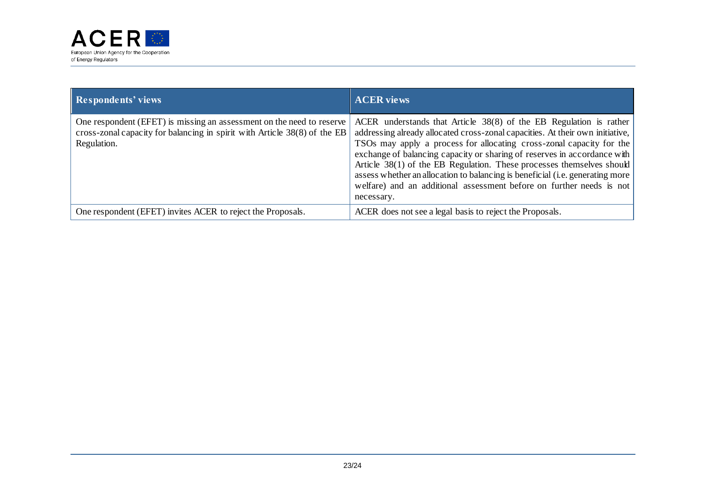

| <b>Respondents' views</b>                                                                                                                                         | <b>ACER views</b>                                                                                                                                                                                                                                                                                                                                                                                                                                                                                                                                         |
|-------------------------------------------------------------------------------------------------------------------------------------------------------------------|-----------------------------------------------------------------------------------------------------------------------------------------------------------------------------------------------------------------------------------------------------------------------------------------------------------------------------------------------------------------------------------------------------------------------------------------------------------------------------------------------------------------------------------------------------------|
| One respondent (EFET) is missing an assessment on the need to reserve<br>cross-zonal capacity for balancing in spirit with Article 38(8) of the EB<br>Regulation. | ACER understands that Article $38(8)$ of the EB Regulation is rather<br>addressing already allocated cross-zonal capacities. At their own initiative,<br>TSOs may apply a process for allocating cross-zonal capacity for the<br>exchange of balancing capacity or sharing of reserves in accordance with<br>Article 38(1) of the EB Regulation. These processes themselves should<br>assess whether an allocation to balancing is beneficial (i.e. generating more<br>welfare) and an additional assessment before on further needs is not<br>necessary. |
| One respondent (EFET) invites ACER to reject the Proposals.                                                                                                       | ACER does not see a legal basis to reject the Proposals.                                                                                                                                                                                                                                                                                                                                                                                                                                                                                                  |